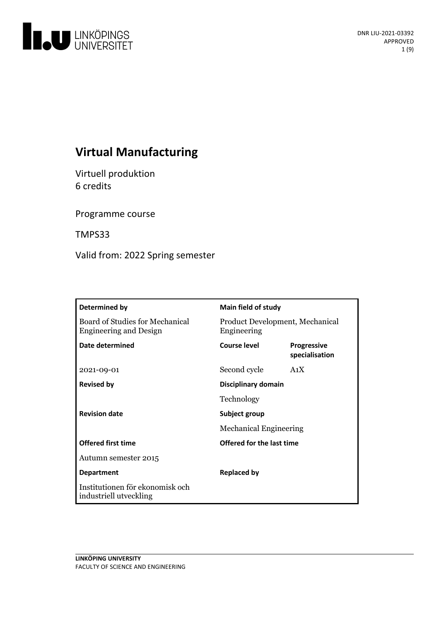

# **Virtual Manufacturing**

Virtuell produktion 6 credits

Programme course

TMPS33

Valid from: 2022 Spring semester

| Determined by                                                    | <b>Main field of study</b>                     |                                      |
|------------------------------------------------------------------|------------------------------------------------|--------------------------------------|
| Board of Studies for Mechanical<br><b>Engineering and Design</b> | Product Development, Mechanical<br>Engineering |                                      |
| Date determined                                                  | Course level                                   | <b>Progressive</b><br>specialisation |
| 2021-09-01                                                       | Second cycle                                   | A <sub>1</sub> X                     |
| <b>Revised by</b>                                                | Disciplinary domain                            |                                      |
|                                                                  | Technology                                     |                                      |
| <b>Revision date</b>                                             | Subject group                                  |                                      |
|                                                                  | <b>Mechanical Engineering</b>                  |                                      |
| <b>Offered first time</b>                                        | Offered for the last time                      |                                      |
| Autumn semester 2015                                             |                                                |                                      |
| <b>Department</b>                                                | <b>Replaced by</b>                             |                                      |
| Institutionen för ekonomisk och<br>industriell utveckling        |                                                |                                      |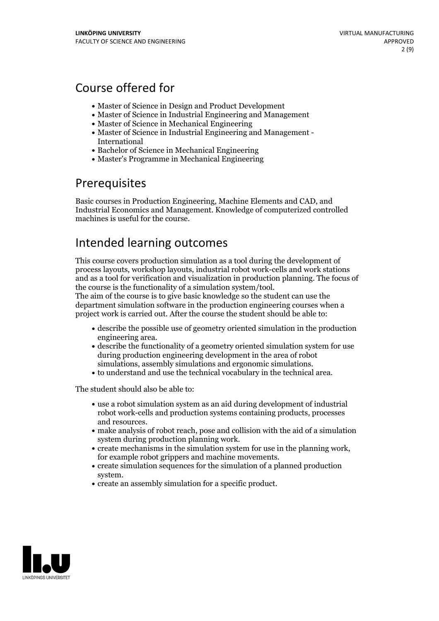## Course offered for

- Master of Science in Design and Product Development
- Master of Science in Industrial Engineering and Management
- Master of Science in Mechanical Engineering
- Master of Science in Industrial Engineering and Management International
- Bachelor of Science in Mechanical Engineering
- Master's Programme in Mechanical Engineering

## Prerequisites

Basic courses in Production Engineering, Machine Elements and CAD, and Industrial Economics and Management. Knowledge of computerized controlled machines is useful for the course.

## Intended learning outcomes

This course covers production simulation asa tool during the development of process layouts, workshop layouts, industrial robot work-cells and work stations and as a tool for verification and visualization in production planning. The focus of the course is the functionality of <sup>a</sup> simulation system/tool. The aim of the course is to give basic knowledge so the student can use the

department simulation software in the production engineering courses when a project work is carried out. After the course the student should be able to:

- describe the possible use of geometry oriented simulation in the production engineering area.<br>• describe the functionality of a geometry oriented simulation system for use
- during production engineering development in the area of robot
- simulations, assembly simulations and ergonomic simulations.<br>• to understand and use the technical vocabulary in the technical area.

The student should also be able to:

- use a robot simulation system as an aid during development of industrial robot work-cells and production systems containing products, processes
- and resources.<br>• make analysis of robot reach, pose and collision with the aid of a simulation<br>system during production planning work.
- create mechanisms in the simulation system for use in the planning work,<br>for example robot grippers and machine movements.<br>• create simulation sequences for the simulation of a planned production
- 
- system.<br>• create an assembly simulation for a specific product.

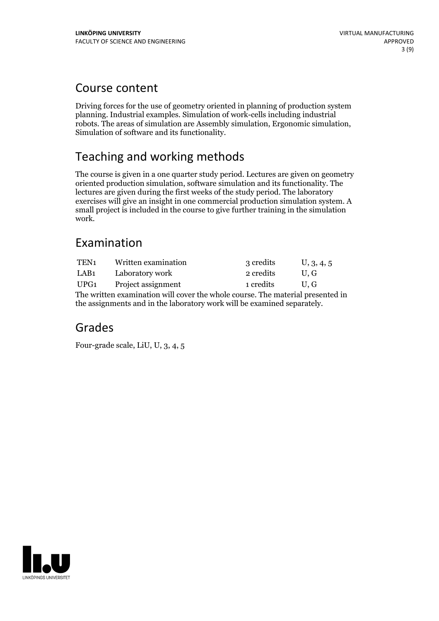## Course content

Driving forces for the use of geometry oriented in planning of production system planning. Industrial examples. Simulation of work-cells including industrial robots. The areas of simulation are Assembly simulation, Ergonomic simulation, Simulation of software and its functionality.

## Teaching and working methods

The course is given in a one quarter study period. Lectures are given on geometry oriented production simulation, software simulation and its functionality. The lectures are given during the first weeks of the study period. The laboratory exercises will give an insight in one commercial production simulation system. A small project is included in the course to give further training in the simulation work.

## Examination

| TEN <sub>1</sub> | Written examination     | 3 credits | U, 3, 4, 5 |
|------------------|-------------------------|-----------|------------|
| LAB1             | Laboratory work         | 2 credits | U.G        |
|                  | UPG1 Project assignment | 1 credits | U.G        |
|                  |                         |           |            |

The written examination will cover the whole course. The material presented in the assignments and in the laboratory work will be examined separately.

## Grades

Four-grade scale, LiU, U, 3, 4, 5

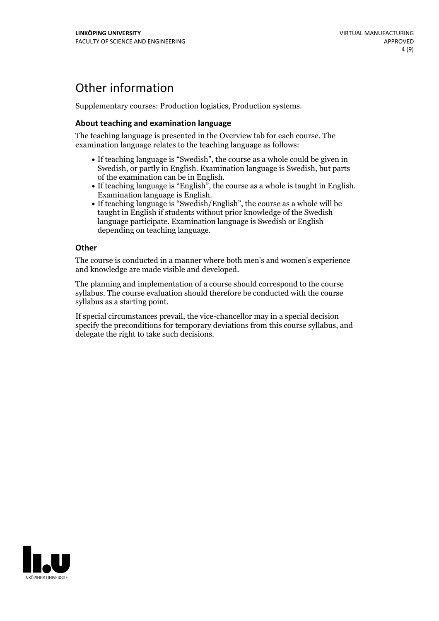## Other information

Supplementary courses: Production logistics, Production systems.

### **About teaching and examination language**

The teaching language is presented in the Overview tab for each course. The examination language relates to the teaching language as follows:

- If teaching language is "Swedish", the course as a whole could be given in Swedish, or partly in English. Examination language is Swedish, but parts
- of the examination can be in English. If teaching language is "English", the course as <sup>a</sup> whole is taught in English. Examination language is English. If teaching language is "Swedish/English", the course as <sup>a</sup> whole will be
- taught in English if students without prior knowledge of the Swedish language participate. Examination language is Swedish or English depending on teaching language.

#### **Other**

The course is conducted in a manner where both men's and women's experience and knowledge are made visible and developed.

The planning and implementation of a course should correspond to the course syllabus. The course evaluation should therefore be conducted with the course syllabus as a starting point.

If special circumstances prevail, the vice-chancellor may in a special decision specify the preconditions for temporary deviations from this course syllabus, and delegate the right to take such decisions.

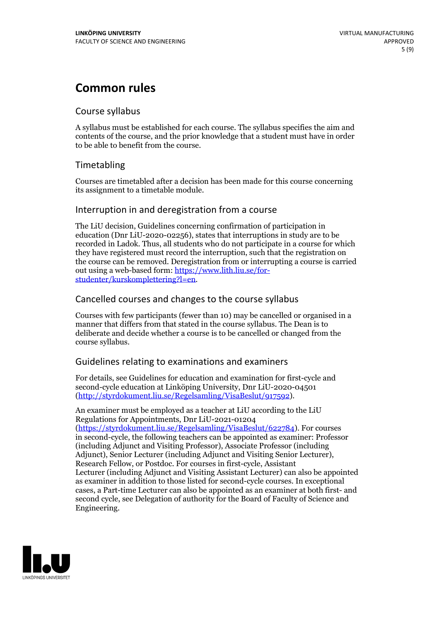## **Common rules**

### Course syllabus

A syllabus must be established for each course. The syllabus specifies the aim and contents of the course, and the prior knowledge that a student must have in order to be able to benefit from the course.

## Timetabling

Courses are timetabled after a decision has been made for this course concerning its assignment to a timetable module.

### Interruption in and deregistration from a course

The LiU decision, Guidelines concerning confirmation of participation in education (Dnr LiU-2020-02256), states that interruptions in study are to be recorded in Ladok. Thus, all students who do not participate in a course for which they have registered must record the interruption, such that the registration on the course can be removed. Deregistration from or interrupting a course is carried out using <sup>a</sup> web-based form: https://www.lith.liu.se/for- [studenter/kurskomplettering?l=en.](https://www.lith.liu.se/for-studenter/kurskomplettering?l=en)

## Cancelled courses and changes to the course syllabus

Courses with few participants (fewer than 10) may be cancelled or organised in a manner that differs from that stated in the course syllabus. The Dean is to deliberate and decide whether a course is to be cancelled or changed from the course syllabus.

## Guidelines relating to examinations and examiners

For details, see Guidelines for education and examination for first-cycle and second-cycle education at Linköping University, Dnr LiU-2020-04501 [\(http://styrdokument.liu.se/Regelsamling/VisaBeslut/917592\)](http://styrdokument.liu.se/Regelsamling/VisaBeslut/917592).

An examiner must be employed as a teacher at LiU according to the LiU Regulations for Appointments, Dnr LiU-2021-01204 [\(https://styrdokument.liu.se/Regelsamling/VisaBeslut/622784](https://styrdokument.liu.se/Regelsamling/VisaBeslut/622784)). For courses in second-cycle, the following teachers can be appointed as examiner: Professor (including Adjunct and Visiting Professor), Associate Professor (including Adjunct), Senior Lecturer (including Adjunct and Visiting Senior Lecturer), Research Fellow, or Postdoc. For courses in first-cycle, Assistant Lecturer (including Adjunct and Visiting Assistant Lecturer) can also be appointed as examiner in addition to those listed for second-cycle courses. In exceptional cases, a Part-time Lecturer can also be appointed as an examiner at both first- and second cycle, see Delegation of authority for the Board of Faculty of Science and Engineering.

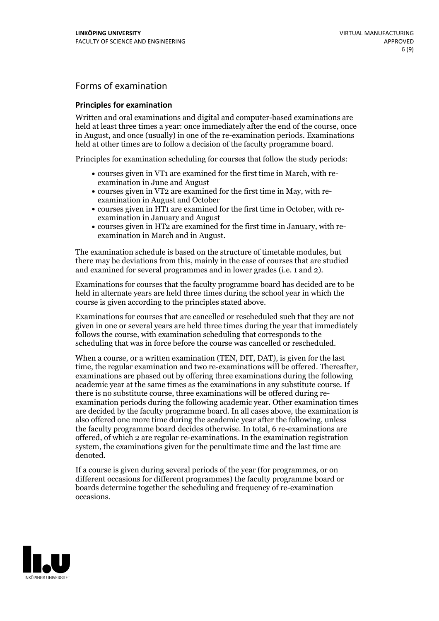## Forms of examination

### **Principles for examination**

Written and oral examinations and digital and computer-based examinations are held at least three times a year: once immediately after the end of the course, once in August, and once (usually) in one of the re-examination periods. Examinations held at other times are to follow a decision of the faculty programme board.

Principles for examination scheduling for courses that follow the study periods:

- courses given in VT1 are examined for the first time in March, with re-examination in June and August
- courses given in VT2 are examined for the first time in May, with re-examination in August and October
- courses given in HT1 are examined for the first time in October, with re-examination in January and August
- courses given in HT2 are examined for the first time in January, with re-examination in March and in August.

The examination schedule is based on the structure of timetable modules, but there may be deviations from this, mainly in the case of courses that are studied and examined for several programmes and in lower grades (i.e. 1 and 2).

Examinations for courses that the faculty programme board has decided are to be held in alternate years are held three times during the school year in which the course is given according to the principles stated above.

Examinations for courses that are cancelled orrescheduled such that they are not given in one or several years are held three times during the year that immediately follows the course, with examination scheduling that corresponds to the scheduling that was in force before the course was cancelled or rescheduled.

When a course, or a written examination (TEN, DIT, DAT), is given for the last time, the regular examination and two re-examinations will be offered. Thereafter, examinations are phased out by offering three examinations during the following academic year at the same times as the examinations in any substitute course. If there is no substitute course, three examinations will be offered during re- examination periods during the following academic year. Other examination times are decided by the faculty programme board. In all cases above, the examination is also offered one more time during the academic year after the following, unless the faculty programme board decides otherwise. In total, 6 re-examinations are offered, of which 2 are regular re-examinations. In the examination registration system, the examinations given for the penultimate time and the last time are denoted.

If a course is given during several periods of the year (for programmes, or on different occasions for different programmes) the faculty programme board or boards determine together the scheduling and frequency of re-examination occasions.

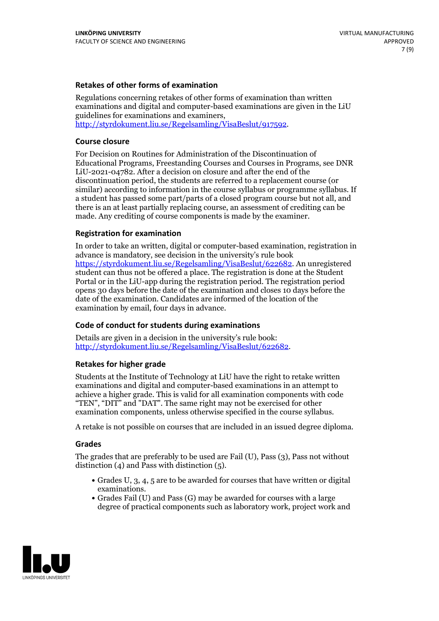### **Retakes of other forms of examination**

Regulations concerning retakes of other forms of examination than written examinations and digital and computer-based examinations are given in the LiU guidelines for examinations and examiners, [http://styrdokument.liu.se/Regelsamling/VisaBeslut/917592.](http://styrdokument.liu.se/Regelsamling/VisaBeslut/917592)

### **Course closure**

For Decision on Routines for Administration of the Discontinuation of Educational Programs, Freestanding Courses and Courses in Programs, see DNR LiU-2021-04782. After a decision on closure and after the end of the discontinuation period, the students are referred to a replacement course (or similar) according to information in the course syllabus or programme syllabus. If a student has passed some part/parts of a closed program course but not all, and there is an at least partially replacing course, an assessment of crediting can be made. Any crediting of course components is made by the examiner.

### **Registration for examination**

In order to take an written, digital or computer-based examination, registration in advance is mandatory, see decision in the university's rule book [https://styrdokument.liu.se/Regelsamling/VisaBeslut/622682.](https://styrdokument.liu.se/Regelsamling/VisaBeslut/622682) An unregistered student can thus not be offered a place. The registration is done at the Student Portal or in the LiU-app during the registration period. The registration period opens 30 days before the date of the examination and closes 10 days before the date of the examination. Candidates are informed of the location of the examination by email, four days in advance.

### **Code of conduct for students during examinations**

Details are given in a decision in the university's rule book: <http://styrdokument.liu.se/Regelsamling/VisaBeslut/622682>.

#### **Retakes for higher grade**

Students at the Institute of Technology at LiU have the right to retake written examinations and digital and computer-based examinations in an attempt to achieve a higher grade. This is valid for all examination components with code "TEN", "DIT" and "DAT". The same right may not be exercised for other examination components, unless otherwise specified in the course syllabus.

A retake is not possible on courses that are included in an issued degree diploma.

#### **Grades**

The grades that are preferably to be used are Fail (U), Pass (3), Pass not without distinction  $(4)$  and Pass with distinction  $(5)$ .

- Grades U, 3, 4, 5 are to be awarded for courses that have written or digital examinations.<br>• Grades Fail (U) and Pass (G) may be awarded for courses with a large
- degree of practical components such as laboratory work, project work and

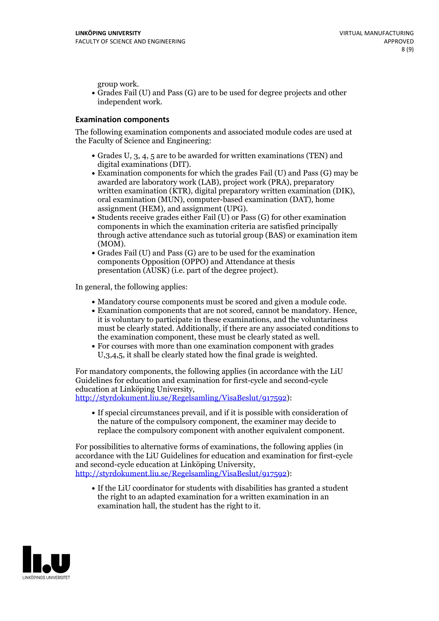group work.<br>• Grades Fail (U) and Pass (G) are to be used for degree projects and other independent work.

### **Examination components**

The following examination components and associated module codes are used at the Faculty of Science and Engineering:

- Grades U, 3, 4, 5 are to be awarded for written examinations (TEN) and
- digital examinations (DIT).<br>• Examination components for which the grades Fail (U) and Pass (G) may be awarded are laboratory work (LAB), project work (PRA), preparatory written examination (KTR), digital preparatory written examination (DIK), oral examination (MUN), computer-based examination (DAT), home
- assignment (HEM), and assignment (UPG).<br>• Students receive grades either Fail (U) or Pass (G) for other examination components in which the examination criteria are satisfied principally through active attendance such as tutorial group (BAS) or examination item
- (MOM).<br>• Grades Fail (U) and Pass (G) are to be used for the examination components Opposition (OPPO) and Attendance at thesis presentation (AUSK) (i.e. part of the degree project).

In general, the following applies:

- 
- Mandatory course components must be scored and given <sup>a</sup> module code. Examination components that are not scored, cannot be mandatory. Hence, it is voluntary to participate in these examinations, and the voluntariness must be clearly stated. Additionally, if there are any associated conditions to
- the examination component, these must be clearly stated as well.<br>• For courses with more than one examination component with grades U,3,4,5, it shall be clearly stated how the final grade is weighted.

For mandatory components, the following applies (in accordance with the LiU Guidelines for education and examination for first-cycle and second-cycle education at Linköping University,<br>[http://styrdokument.liu.se/Regelsamling/VisaBeslut/917592\)](http://styrdokument.liu.se/Regelsamling/VisaBeslut/917592):

If special circumstances prevail, and if it is possible with consideration of the nature of the compulsory component, the examiner may decide to replace the compulsory component with another equivalent component.

For possibilities to alternative forms of examinations, the following applies (in accordance with the LiU Guidelines for education and examination for first-cycle [http://styrdokument.liu.se/Regelsamling/VisaBeslut/917592\)](http://styrdokument.liu.se/Regelsamling/VisaBeslut/917592):

If the LiU coordinator for students with disabilities has granted a student the right to an adapted examination for a written examination in an examination hall, the student has the right to it.